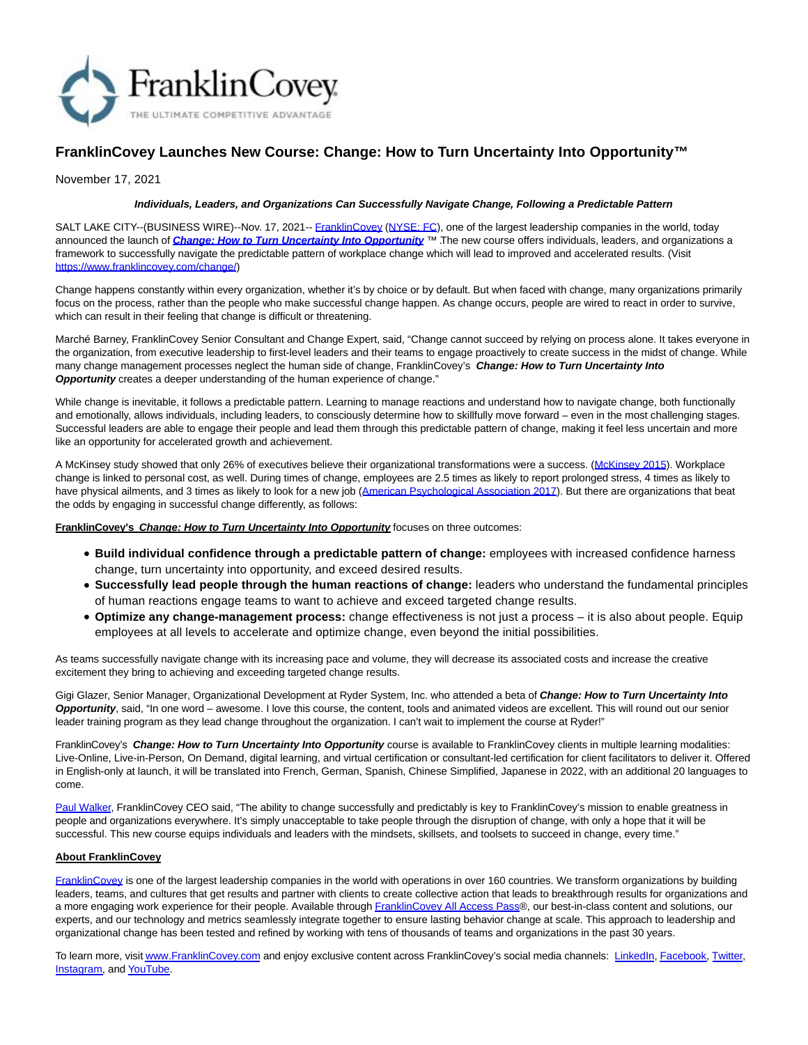

## **FranklinCovey Launches New Course: Change: How to Turn Uncertainty Into Opportunity™**

November 17, 2021

## **Individuals, Leaders, and Organizations Can Successfully Navigate Change, Following a Predictable Pattern**

SALT LAKE CITY--(BUSINESS WIRE)--Nov. 17, 2021-- [FranklinCovey](https://cts.businesswire.com/ct/CT?id=smartlink&url=http%3A%2F%2Fwww.franklincovey.com&esheet=52532865&newsitemid=20211117005507&lan=en-US&anchor=FranklinCovey&index=1&md5=058329df9b91e1348bde37ff39b165fa) [\(NYSE: FC\),](https://cts.businesswire.com/ct/CT?id=smartlink&url=https%3A%2F%2Fwww.nyse.com%2Fquote%2FXNYS%3AFC%255d&esheet=52532865&newsitemid=20211117005507&lan=en-US&anchor=NYSE%3A+FC&index=2&md5=d0f061ce3165ebaf2d8d3ec33dc6bee2) one of the largest leadership companies in the world, today announced the launch of *[Change: How to Turn Uncertainty Into Opportunity](https://cts.businesswire.com/ct/CT?id=smartlink&url=https%3A%2F%2Fwww.franklincovey.com%2Fchange%2F&esheet=52532865&newsitemid=20211117005507&lan=en-US&anchor=Change%3A+How+to+Turn+Uncertainty+Into+Opportunity&index=3&md5=28f0405e238ffa1f59de3b23a1839107)* ™ The new course offers individuals, leaders, and organizations a framework to successfully navigate the predictable pattern of workplace change which will lead to improved and accelerated results. (Visit [https://www.franklincovey.com/change/\)](https://cts.businesswire.com/ct/CT?id=smartlink&url=https%3A%2F%2Fwww.franklincovey.com%2Fchange%2F&esheet=52532865&newsitemid=20211117005507&lan=en-US&anchor=https%3A%2F%2Fwww.franklincovey.com%2Fchange%2F&index=4&md5=32ef2e1d88e35e20b3a31af7639c9e44)

Change happens constantly within every organization, whether it's by choice or by default. But when faced with change, many organizations primarily focus on the process, rather than the people who make successful change happen. As change occurs, people are wired to react in order to survive, which can result in their feeling that change is difficult or threatening.

Marché Barney, FranklinCovey Senior Consultant and Change Expert, said, "Change cannot succeed by relying on process alone. It takes everyone in the organization, from executive leadership to first-level leaders and their teams to engage proactively to create success in the midst of change. While many change management processes neglect the human side of change, FranklinCovey's **Change: How to Turn Uncertainty Into Opportunity** creates a deeper understanding of the human experience of change."

While change is inevitable, it follows a predictable pattern. Learning to manage reactions and understand how to navigate change, both functionally and emotionally, allows individuals, including leaders, to consciously determine how to skillfully move forward – even in the most challenging stages. Successful leaders are able to engage their people and lead them through this predictable pattern of change, making it feel less uncertain and more like an opportunity for accelerated growth and achievement.

A McKinsey study showed that only 26% of executives believe their organizational transformations were a success. [\(McKinsey 2015\).](https://cts.businesswire.com/ct/CT?id=smartlink&url=https%3A%2F%2Fwww.mckinsey.com%2Fbusiness-functions%2Forganization%2Four-insights%2Fhow-to-beat-the-transformation-odds&esheet=52532865&newsitemid=20211117005507&lan=en-US&anchor=McKinsey+2015&index=5&md5=405a739cc20271e7617d70edd2d12be8) Workplace change is linked to personal cost, as well. During times of change, employees are 2.5 times as likely to report prolonged stress, 4 times as likely to have physical ailments, and 3 times as likely to look for a new job [\(American Psychological Association 2017\).](https://cts.businesswire.com/ct/CT?id=smartlink&url=http%3A%2F%2Fwww.apaexcellence.org%2Fassets%2Fgeneral%2F2017-work-and-wellbeing-survey-results.pdf%3F_ga%3D2.239512899.1106317465.1636392055-2022609270.1636392055&esheet=52532865&newsitemid=20211117005507&lan=en-US&anchor=American+Psychological+Association+2017&index=6&md5=90e2661ec7339c25ddabe64e42268641) But there are organizations that beat the odds by engaging in successful change differently, as follows:

**FranklinCovey's Change: How to Turn Uncertainty Into Opportunity** focuses on three outcomes:

- **Build individual confidence through a predictable pattern of change:** employees with increased confidence harness change, turn uncertainty into opportunity, and exceed desired results.
- **Successfully lead people through the human reactions of change:** leaders who understand the fundamental principles of human reactions engage teams to want to achieve and exceed targeted change results.
- **Optimize any change-management process:** change effectiveness is not just a process it is also about people. Equip employees at all levels to accelerate and optimize change, even beyond the initial possibilities.

As teams successfully navigate change with its increasing pace and volume, they will decrease its associated costs and increase the creative excitement they bring to achieving and exceeding targeted change results.

Gigi Glazer, Senior Manager, Organizational Development at Ryder System, Inc. who attended a beta of **Change: How to Turn Uncertainty Into Opportunity**, said, "In one word – awesome. I love this course, the content, tools and animated videos are excellent. This will round out our senior leader training program as they lead change throughout the organization. I can't wait to implement the course at Ryder!"

FranklinCovey's **Change: How to Turn Uncertainty Into Opportunity** course is available to FranklinCovey clients in multiple learning modalities: Live-Online, Live-in-Person, On Demand, digital learning, and virtual certification or consultant-led certification for client facilitators to deliver it. Offered in English-only at launch, it will be translated into French, German, Spanish, Chinese Simplified, Japanese in 2022, with an additional 20 languages to come.

[Paul Walker,](https://cts.businesswire.com/ct/CT?id=smartlink&url=https%3A%2F%2Fwww.franklincovey.com%2Fabout%2Fexecutive-team%2Fpaulwalker%2F&esheet=52532865&newsitemid=20211117005507&lan=en-US&anchor=Paul+Walker&index=7&md5=86f752b12a514b2aa6a4c435b7c5238b) FranklinCovey CEO said, "The ability to change successfully and predictably is key to FranklinCovey's mission to enable greatness in people and organizations everywhere. It's simply unacceptable to take people through the disruption of change, with only a hope that it will be successful. This new course equips individuals and leaders with the mindsets, skillsets, and toolsets to succeed in change, every time."

## **About FranklinCovey**

[FranklinCovey i](https://cts.businesswire.com/ct/CT?id=smartlink&url=http%3A%2F%2Fwww.franklincovey.com%2F&esheet=52532865&newsitemid=20211117005507&lan=en-US&anchor=FranklinCovey&index=8&md5=1427cf574581005e6296f5f51df4f0e0)s one of the largest leadership companies in the world with operations in over 160 countries. We transform organizations by building leaders, teams, and cultures that get results and partner with clients to create collective action that leads to breakthrough results for organizations and a more engaging work experience for their people. Available throug[h FranklinCovey All Access Pass®](https://cts.businesswire.com/ct/CT?id=smartlink&url=https%3A%2F%2Fwww.franklincovey.com%2Fengage-with-us%2Fall-access-pass%2F&esheet=52532865&newsitemid=20211117005507&lan=en-US&anchor=FranklinCovey+All+Access+Pass&index=9&md5=1f2d30d2ddb3cbc750b065b9bbf74abc), our best-in-class content and solutions, our experts, and our technology and metrics seamlessly integrate together to ensure lasting behavior change at scale. This approach to leadership and organizational change has been tested and refined by working with tens of thousands of teams and organizations in the past 30 years.

To learn more, visi[t www.FranklinCovey.com a](https://cts.businesswire.com/ct/CT?id=smartlink&url=http%3A%2F%2Fwww.FranklinCovey.com&esheet=52532865&newsitemid=20211117005507&lan=en-US&anchor=www.FranklinCovey.com&index=10&md5=3ac0ac7b2c4df25fb8ea45cd3ff926a3)nd enjoy exclusive content across FranklinCovey's social media channels: [LinkedIn,](https://cts.businesswire.com/ct/CT?id=smartlink&url=https%3A%2F%2Fwww.linkedin.com%2Fcompany%2Ffranklincovey%2F&esheet=52532865&newsitemid=20211117005507&lan=en-US&anchor=LinkedIn&index=11&md5=5f7094a7d8766f7a815c23c6a589c017) [Facebook,](https://cts.businesswire.com/ct/CT?id=smartlink&url=https%3A%2F%2Fwww.facebook.com%2FFranklinCovey%2F&esheet=52532865&newsitemid=20211117005507&lan=en-US&anchor=Facebook&index=12&md5=0c6c1506347ffddb6b8a522afe0d15be) [Twitter,](https://cts.businesswire.com/ct/CT?id=smartlink&url=https%3A%2F%2Ftwitter.com%2Ffranklincovey&esheet=52532865&newsitemid=20211117005507&lan=en-US&anchor=Twitter&index=13&md5=f8f1d35a6a58019b74f352b37d336d50) [Instagram,](https://cts.businesswire.com/ct/CT?id=smartlink&url=https%3A%2F%2Fwww.instagram.com%2Ffranklincovey%2F&esheet=52532865&newsitemid=20211117005507&lan=en-US&anchor=Instagram&index=14&md5=c8bde0e527221ff1f279d0e468b1612a) an[d YouTube.](https://cts.businesswire.com/ct/CT?id=smartlink&url=https%3A%2F%2Fwww.youtube.com%2Fuser%2FFranklinCoveyVideos&esheet=52532865&newsitemid=20211117005507&lan=en-US&anchor=YouTube&index=15&md5=c95737e25aa0b69913c963ab5990870a)